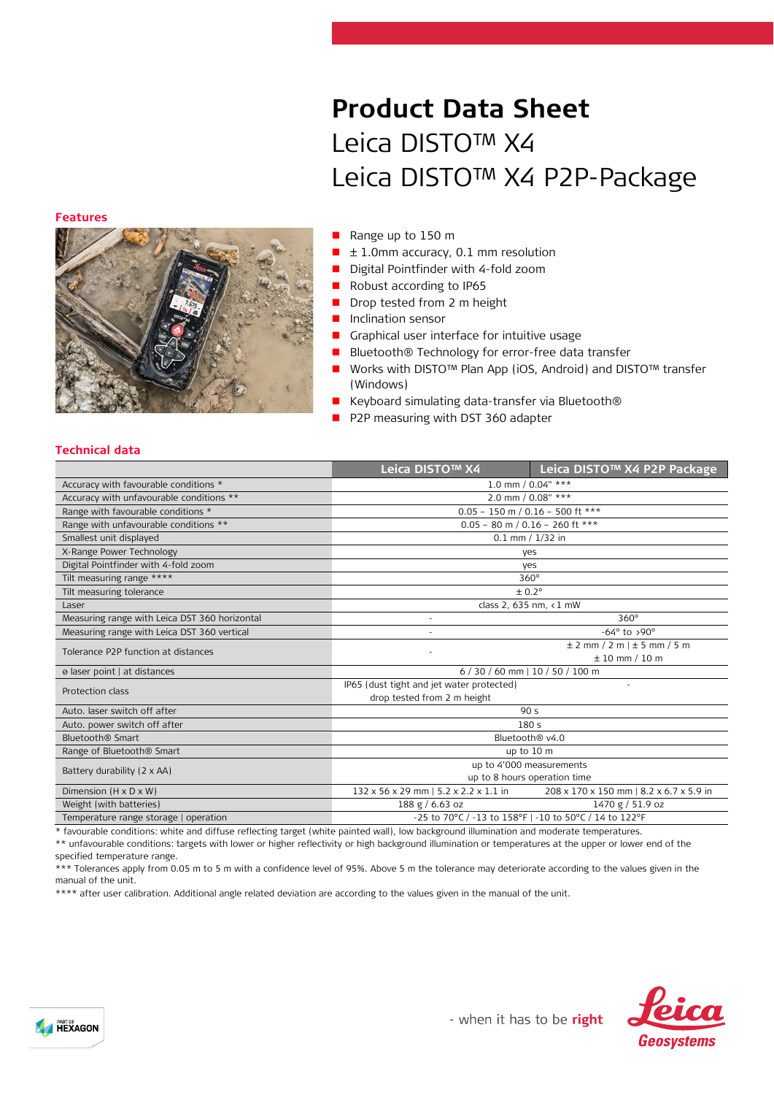#### **Features**



## **Product Data Sheet** Leica DISTO™ X4 Leica DISTO™ X4 P2P-Package

- Range up to 150 m
- $\blacksquare$   $\pm$  1.0mm accuracy, 0.1 mm resolution
- Digital Pointfinder with 4-fold zoom
- Robust according to IP65
- Drop tested from 2 m height
- **Inclination sensor**
- Graphical user interface for intuitive usage
- Bluetooth® Technology for error-free data transfer
- Works with DISTO™ Plan App (iOS, Android) and DISTO™ transfer (Windows)
- Keyboard simulating data-transfer via Bluetooth®
- P2P measuring with DST 360 adapter

## **Technical data**

|                                               | Leica DISTO™ X4                                             | Leica DISTO™ X4 P2P Package             |  |
|-----------------------------------------------|-------------------------------------------------------------|-----------------------------------------|--|
| Accuracy with favourable conditions *         | 1.0 mm / 0.04" ***                                          |                                         |  |
| Accuracy with unfavourable conditions **      | 2.0 mm / 0.08" ***                                          |                                         |  |
| Range with favourable conditions *            | $0.05 - 150$ m / 0.16 - 500 ft ***                          |                                         |  |
| Range with unfavourable conditions **         | $0.05 - 80$ m / 0.16 - 260 ft ***                           |                                         |  |
| Smallest unit displayed                       | $0.1$ mm $/ 1/32$ in                                        |                                         |  |
| X-Range Power Technology                      | yes                                                         |                                         |  |
| Digital Pointfinder with 4-fold zoom          | yes                                                         |                                         |  |
| Tilt measuring range ****                     | $360^\circ$                                                 |                                         |  |
| Tilt measuring tolerance                      | ± 0.2°                                                      |                                         |  |
| Laser                                         | class 2, 635 nm, <1 mW                                      |                                         |  |
| Measuring range with Leica DST 360 horizontal | $360^\circ$                                                 |                                         |  |
| Measuring range with Leica DST 360 vertical   | $-64^\circ$ to >90°                                         |                                         |  |
| Tolerance P2P function at distances           |                                                             | $\pm$ 2 mm / 2 m $\pm$ 5 mm / 5 m       |  |
|                                               | $± 10$ mm $/10$ m                                           |                                         |  |
| ø laser point   at distances                  | 6 / 30 / 60 mm   10 / 50 / 100 m                            |                                         |  |
| Protection class                              | IP65 (dust tight and jet water protected)<br>$\overline{a}$ |                                         |  |
|                                               | drop tested from 2 m height                                 |                                         |  |
| Auto, laser switch off after                  | 90 <sub>5</sub>                                             |                                         |  |
| Auto. power switch off after                  | 180s                                                        |                                         |  |
| Bluetooth <sup>®</sup> Smart                  | Bluetooth <sup>®</sup> v4.0                                 |                                         |  |
| Range of Bluetooth <sup>®</sup> Smart         | up to 10 m                                                  |                                         |  |
| Battery durability (2 x AA)                   | up to 4'000 measurements                                    |                                         |  |
|                                               | up to 8 hours operation time                                |                                         |  |
| Dimension $(H \times D \times W)$             | 132 x 56 x 29 mm   5.2 x 2.2 x 1.1 in                       | 208 x 170 x 150 mm   8.2 x 6.7 x 5.9 in |  |
| Weight (with batteries)                       | 188 g / 6.63 oz                                             | 1470 g / 51.9 oz                        |  |
| Temperature range storage   operation         | -25 to 70°C / -13 to 158°F   -10 to 50°C / 14 to 122°F      |                                         |  |

\* favourable conditions: white and diffuse reflecting target (white painted wall), low background illumination and moderate temperatures.

\*\* unfavourable conditions: targets with lower or higher reflectivity or high background illumination or temperatures at the upper or lower end of the specified temperature range.

\*\*\* Tolerances apply from 0.05 m to 5 m with a confidence level of 95%. Above 5 m the tolerance may deteriorate according to the values given in the manual of the unit.

\*\*\*\* after user calibration. Additional angle related deviation are according to the values given in the manual of the unit.